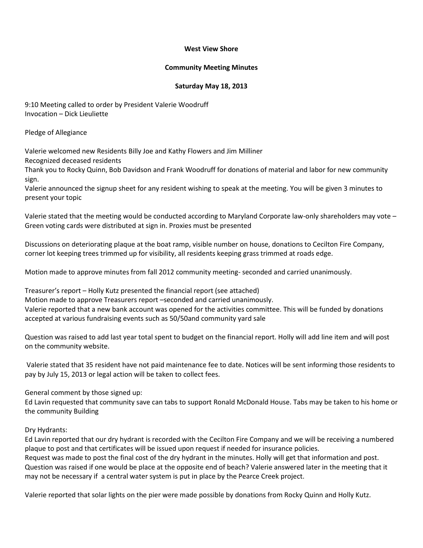#### **West View Shore**

#### **Community Meeting Minutes**

### **Saturday May 18, 2013**

9:10 Meeting called to order by President Valerie Woodruff Invocation – Dick Lieuliette

Pledge of Allegiance

Valerie welcomed new Residents Billy Joe and Kathy Flowers and Jim Milliner

Recognized deceased residents

Thank you to Rocky Quinn, Bob Davidson and Frank Woodruff for donations of material and labor for new community sign.

Valerie announced the signup sheet for any resident wishing to speak at the meeting. You will be given 3 minutes to present your topic

Valerie stated that the meeting would be conducted according to Maryland Corporate law-only shareholders may vote – Green voting cards were distributed at sign in. Proxies must be presented

Discussions on deteriorating plaque at the boat ramp, visible number on house, donations to Cecilton Fire Company, corner lot keeping trees trimmed up for visibility, all residents keeping grass trimmed at roads edge.

Motion made to approve minutes from fall 2012 community meeting- seconded and carried unanimously.

Treasurer's report – Holly Kutz presented the financial report (see attached) Motion made to approve Treasurers report –seconded and carried unanimously. Valerie reported that a new bank account was opened for the activities committee. This will be funded by donations accepted at various fundraising events such as 50/50and community yard sale

Question was raised to add last year total spent to budget on the financial report. Holly will add line item and will post on the community website.

Valerie stated that 35 resident have not paid maintenance fee to date. Notices will be sent informing those residents to pay by July 15, 2013 or legal action will be taken to collect fees.

General comment by those signed up:

Ed Lavin requested that community save can tabs to support Ronald McDonald House. Tabs may be taken to his home or the community Building

Dry Hydrants:

Ed Lavin reported that our dry hydrant is recorded with the Cecilton Fire Company and we will be receiving a numbered plaque to post and that certificates will be issued upon request if needed for insurance policies. Request was made to post the final cost of the dry hydrant in the minutes. Holly will get that information and post.

Question was raised if one would be place at the opposite end of beach? Valerie answered later in the meeting that it may not be necessary if a central water system is put in place by the Pearce Creek project.

Valerie reported that solar lights on the pier were made possible by donations from Rocky Quinn and Holly Kutz.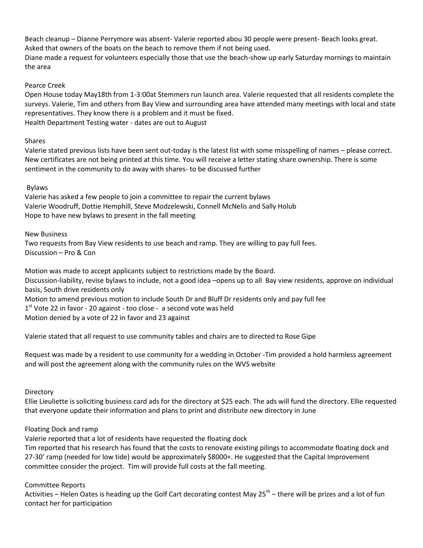Beach cleanup – Dianne Perrymore was absent- Valerie reported abou 30 people were present- Beach looks great. Asked that owners of the boats on the beach to remove them if not being used. Diane made a request for volunteers especially those that use the beach-show up early Saturday mornings to maintain the area

### Pearce Creek

Open House today May18th from 1-3:00at Stemmers run launch area. Valerie requested that all residents complete the surveys. Valerie, Tim and others from Bay View and surrounding area have attended many meetings with local and state representatives. They know there is a problem and it must be fixed. Health Department Testing water - dates are out to August

## Shares

Valerie stated previous lists have been sent out-today is the latest list with some misspelling of names – please correct. New certificates are not being printed at this time. You will receive a letter stating share ownership. There is some sentiment in the community to do away with shares- to be discussed further

## Bylaws

Valerie has asked a few people to join a committee to repair the current bylaws Valerie Woodruff, Dottie Hemphill, Steve Modzelewski, Connell McNelis and Sally Holub Hope to have new bylaws to present in the fall meeting

### New Business

Two requests from Bay View residents to use beach and ramp. They are willing to pay full fees. Discussion – Pro & Con

Motion was made to accept applicants subject to restrictions made by the Board. Discussion-liability, revise bylaws to include, not a good idea –opens up to all Bay view residents, approve on individual basis, South drive residents only Motion to amend previous motion to include South Dr and Bluff Dr residents only and pay full fee  $1<sup>st</sup>$  Vote 22 in favor - 20 against - too close - a second vote was held Motion denied by a vote of 22 in favor and 23 against

Valerie stated that all request to use community tables and chairs are to directed to Rose Gipe

Request was made by a resident to use community for a wedding in October -Tim provided a hold harmless agreement and will post the agreement along with the community rules on the WVS website

### **Directory**

Ellie Lieuliette is soliciting business card ads for the directory at \$25 each. The ads will fund the directory. Ellie requested that everyone update their information and plans to print and distribute new directory in June

### Floating Dock and ramp

Valerie reported that a lot of residents have requested the floating dock

Tim reported that his research has found that the costs to renovate existing pilings to accommodate floating dock and 27-30' ramp (needed for low tide) would be approximately \$8000+. He suggested that the Capital Improvement committee consider the project. Tim will provide full costs at the fall meeting.

# Committee Reports

Activities – Helen Oates is heading up the Golf Cart decorating contest May  $25^{th}$  – there will be prizes and a lot of fun contact her for participation